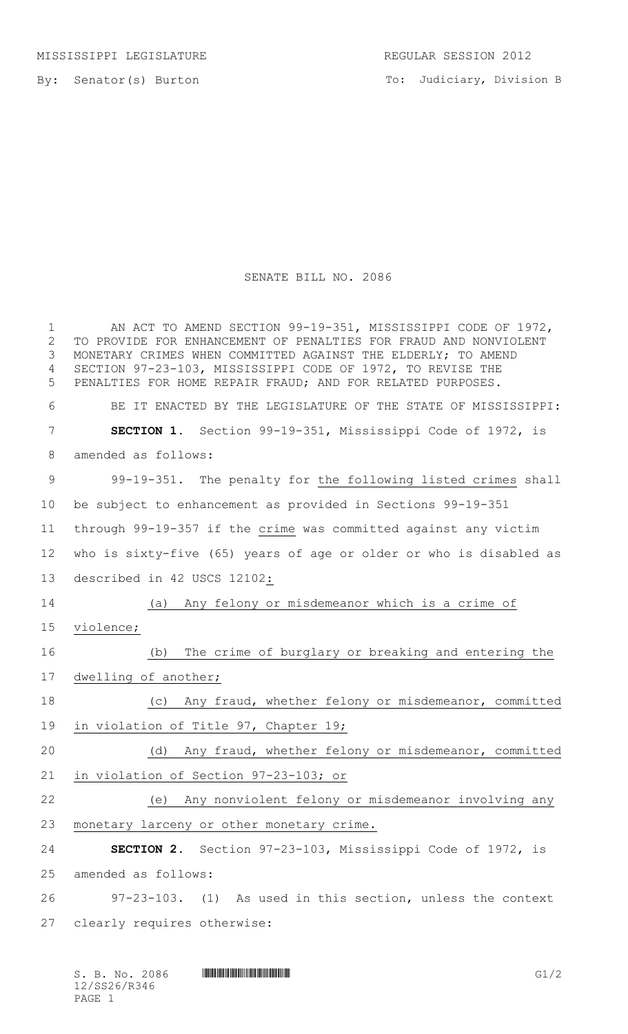To: Judiciary, Division B

## SENATE BILL NO. 2086

| $\mathbf 1$<br>$\overline{2}$<br>3<br>4<br>5 | AN ACT TO AMEND SECTION 99-19-351, MISSISSIPPI CODE OF 1972,<br>TO PROVIDE FOR ENHANCEMENT OF PENALTIES FOR FRAUD AND NONVIOLENT<br>MONETARY CRIMES WHEN COMMITTED AGAINST THE ELDERLY; TO AMEND<br>SECTION 97-23-103, MISSISSIPPI CODE OF 1972, TO REVISE THE<br>PENALTIES FOR HOME REPAIR FRAUD; AND FOR RELATED PURPOSES. |
|----------------------------------------------|------------------------------------------------------------------------------------------------------------------------------------------------------------------------------------------------------------------------------------------------------------------------------------------------------------------------------|
| 6                                            | BE IT ENACTED BY THE LEGISLATURE OF THE STATE OF MISSISSIPPI:                                                                                                                                                                                                                                                                |
| 7                                            | SECTION 1. Section 99-19-351, Mississippi Code of 1972, is                                                                                                                                                                                                                                                                   |
| 8                                            | amended as follows:                                                                                                                                                                                                                                                                                                          |
| 9                                            | 99-19-351. The penalty for the following listed crimes shall                                                                                                                                                                                                                                                                 |
| 10                                           | be subject to enhancement as provided in Sections 99-19-351                                                                                                                                                                                                                                                                  |
| 11                                           | through 99-19-357 if the crime was committed against any victim                                                                                                                                                                                                                                                              |
| 12                                           | who is sixty-five (65) years of age or older or who is disabled as                                                                                                                                                                                                                                                           |
| 13                                           | described in 42 USCS 12102:                                                                                                                                                                                                                                                                                                  |
| 14                                           | (a) Any felony or misdemeanor which is a crime of                                                                                                                                                                                                                                                                            |
| 15                                           | violence;                                                                                                                                                                                                                                                                                                                    |
| 16                                           | The crime of burglary or breaking and entering the<br>(b)                                                                                                                                                                                                                                                                    |
| 17                                           | dwelling of another;                                                                                                                                                                                                                                                                                                         |
| 18                                           | (c) Any fraud, whether felony or misdemeanor, committed                                                                                                                                                                                                                                                                      |
| 19                                           | in violation of Title 97, Chapter 19;                                                                                                                                                                                                                                                                                        |
| 20                                           | (d) Any fraud, whether felony or misdemeanor, committed                                                                                                                                                                                                                                                                      |
| 21                                           | in violation of Section 97-23-103; or                                                                                                                                                                                                                                                                                        |
| 22                                           | Any nonviolent felony or misdemeanor involving any<br>(e)                                                                                                                                                                                                                                                                    |
| 23                                           | monetary larceny or other monetary crime.                                                                                                                                                                                                                                                                                    |
| 24                                           | SECTION 2. Section 97-23-103, Mississippi Code of 1972, is                                                                                                                                                                                                                                                                   |
| 25                                           | amended as follows:                                                                                                                                                                                                                                                                                                          |
| 26                                           | 97-23-103. (1) As used in this section, unless the context                                                                                                                                                                                                                                                                   |
| 27                                           | clearly requires otherwise:                                                                                                                                                                                                                                                                                                  |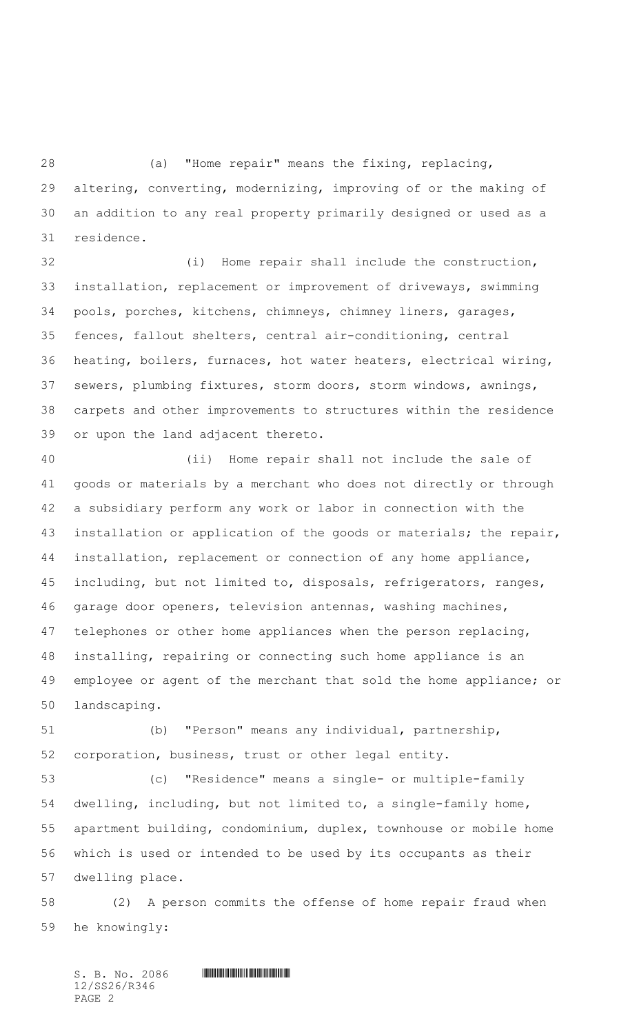(a) "Home repair" means the fixing, replacing, altering, converting, modernizing, improving of or the making of an addition to any real property primarily designed or used as a residence.

 (i) Home repair shall include the construction, installation, replacement or improvement of driveways, swimming pools, porches, kitchens, chimneys, chimney liners, garages, fences, fallout shelters, central air-conditioning, central heating, boilers, furnaces, hot water heaters, electrical wiring, sewers, plumbing fixtures, storm doors, storm windows, awnings, carpets and other improvements to structures within the residence or upon the land adjacent thereto.

 (ii) Home repair shall not include the sale of goods or materials by a merchant who does not directly or through a subsidiary perform any work or labor in connection with the installation or application of the goods or materials; the repair, installation, replacement or connection of any home appliance, including, but not limited to, disposals, refrigerators, ranges, garage door openers, television antennas, washing machines, telephones or other home appliances when the person replacing, installing, repairing or connecting such home appliance is an employee or agent of the merchant that sold the home appliance; or landscaping.

 (b) "Person" means any individual, partnership, corporation, business, trust or other legal entity.

 (c) "Residence" means a single- or multiple-family dwelling, including, but not limited to, a single-family home, apartment building, condominium, duplex, townhouse or mobile home which is used or intended to be used by its occupants as their dwelling place.

 (2) A person commits the offense of home repair fraud when he knowingly:

 $S.$  B. No. 2086  $\blacksquare$ 12/SS26/R346 PAGE 2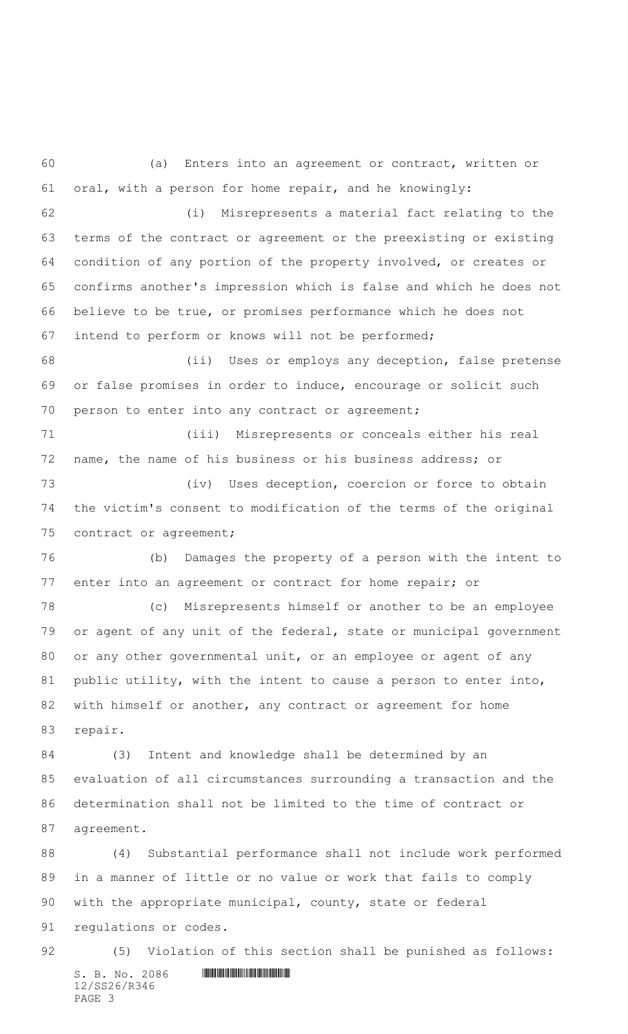(a) Enters into an agreement or contract, written or oral, with a person for home repair, and he knowingly: (i) Misrepresents a material fact relating to the terms of the contract or agreement or the preexisting or existing condition of any portion of the property involved, or creates or confirms another's impression which is false and which he does not believe to be true, or promises performance which he does not intend to perform or knows will not be performed; (ii) Uses or employs any deception, false pretense or false promises in order to induce, encourage or solicit such person to enter into any contract or agreement; (iii) Misrepresents or conceals either his real name, the name of his business or his business address; or 73 (iv) Uses deception, coercion or force to obtain the victim's consent to modification of the terms of the original contract or agreement; (b) Damages the property of a person with the intent to enter into an agreement or contract for home repair; or (c) Misrepresents himself or another to be an employee or agent of any unit of the federal, state or municipal government or any other governmental unit, or an employee or agent of any public utility, with the intent to cause a person to enter into, 82 with himself or another, any contract or agreement for home repair. (3) Intent and knowledge shall be determined by an evaluation of all circumstances surrounding a transaction and the determination shall not be limited to the time of contract or agreement. (4) Substantial performance shall not include work performed in a manner of little or no value or work that fails to comply with the appropriate municipal, county, state or federal regulations or codes.

 $S. B. No. 2086$  .  $\blacksquare$ 12/SS26/R346 PAGE 3 (5) Violation of this section shall be punished as follows: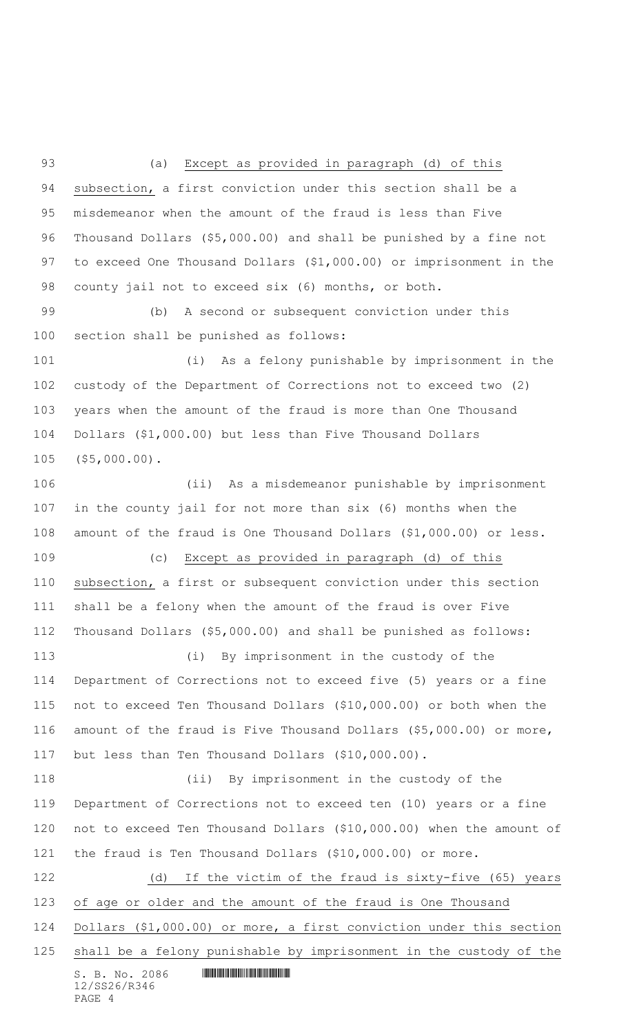(a) Except as provided in paragraph (d) of this subsection, a first conviction under this section shall be a misdemeanor when the amount of the fraud is less than Five Thousand Dollars (\$5,000.00) and shall be punished by a fine not to exceed One Thousand Dollars (\$1,000.00) or imprisonment in the county jail not to exceed six (6) months, or both.

 (b) A second or subsequent conviction under this section shall be punished as follows:

 (i) As a felony punishable by imprisonment in the custody of the Department of Corrections not to exceed two (2) years when the amount of the fraud is more than One Thousand Dollars (\$1,000.00) but less than Five Thousand Dollars (\$5,000.00).

 (ii) As a misdemeanor punishable by imprisonment in the county jail for not more than six (6) months when the amount of the fraud is One Thousand Dollars (\$1,000.00) or less. (c) Except as provided in paragraph (d) of this subsection, a first or subsequent conviction under this section shall be a felony when the amount of the fraud is over Five Thousand Dollars (\$5,000.00) and shall be punished as follows: (i) By imprisonment in the custody of the Department of Corrections not to exceed five (5) years or a fine not to exceed Ten Thousand Dollars (\$10,000.00) or both when the amount of the fraud is Five Thousand Dollars (\$5,000.00) or more, but less than Ten Thousand Dollars (\$10,000.00). (ii) By imprisonment in the custody of the Department of Corrections not to exceed ten (10) years or a fine not to exceed Ten Thousand Dollars (\$10,000.00) when the amount of the fraud is Ten Thousand Dollars (\$10,000.00) or more. (d) If the victim of the fraud is sixty-five (65) years of age or older and the amount of the fraud is One Thousand Dollars (\$1,000.00) or more, a first conviction under this section shall be a felony punishable by imprisonment in the custody of the

 $S. B. No. 2086$  .  $\blacksquare$ 12/SS26/R346 PAGE 4